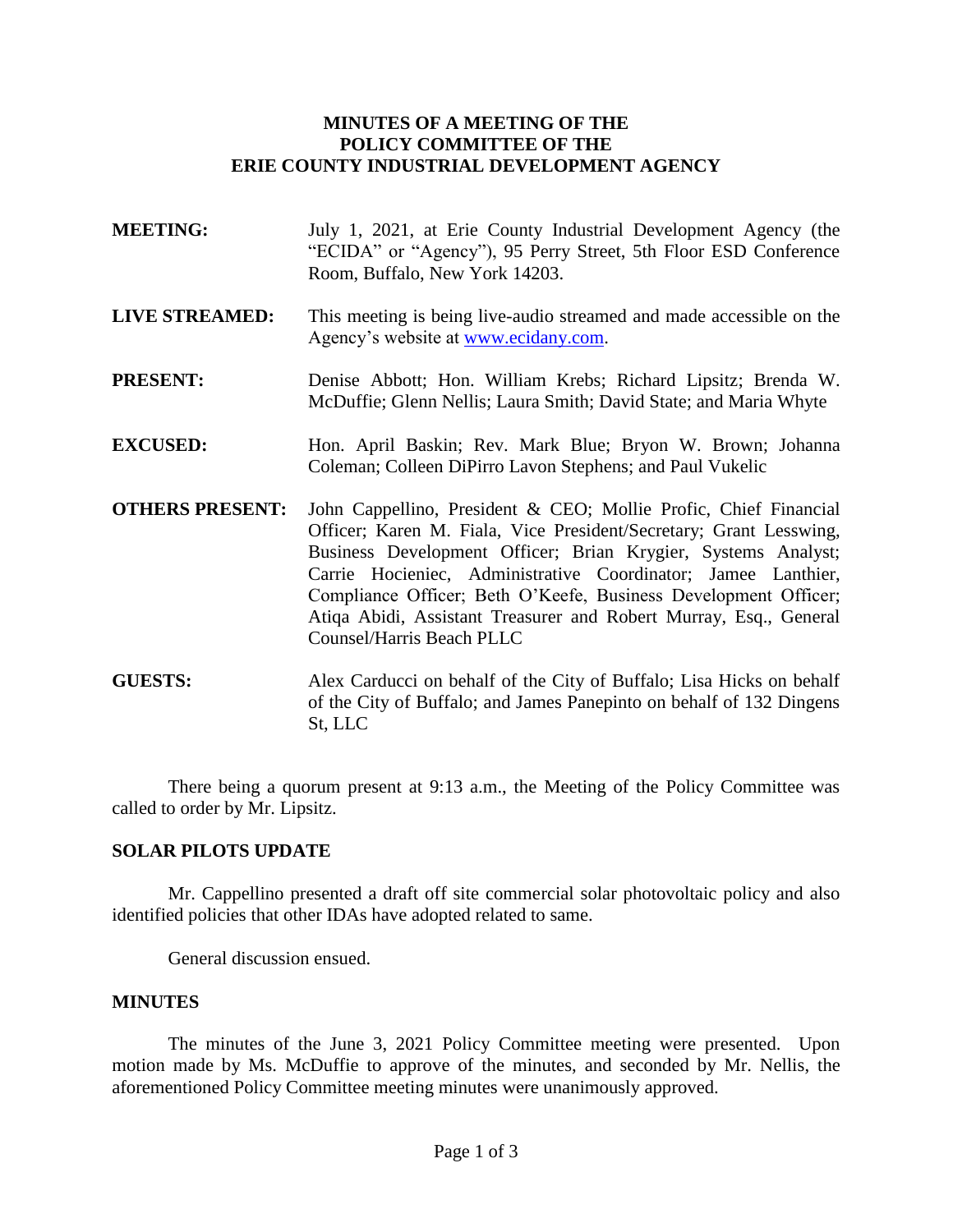## **MINUTES OF A MEETING OF THE POLICY COMMITTEE OF THE ERIE COUNTY INDUSTRIAL DEVELOPMENT AGENCY**

- **MEETING:** July 1, 2021, at Erie County Industrial Development Agency (the "ECIDA" or "Agency"), 95 Perry Street, 5th Floor ESD Conference Room, Buffalo, New York 14203.
- **LIVE STREAMED:** This meeting is being live-audio streamed and made accessible on the Agency's website at [www.ecidany.com.](http://www.ecidany.com/)
- **PRESENT:** Denise Abbott; Hon. William Krebs; Richard Lipsitz; Brenda W. McDuffie; Glenn Nellis; Laura Smith; David State; and Maria Whyte
- **EXCUSED:** Hon. April Baskin; Rev. Mark Blue; Bryon W. Brown; Johanna Coleman; Colleen DiPirro Lavon Stephens; and Paul Vukelic
- **OTHERS PRESENT:** John Cappellino, President & CEO; Mollie Profic, Chief Financial Officer; Karen M. Fiala, Vice President/Secretary; Grant Lesswing, Business Development Officer; Brian Krygier, Systems Analyst; Carrie Hocieniec, Administrative Coordinator; Jamee Lanthier, Compliance Officer; Beth O'Keefe, Business Development Officer; Atiqa Abidi, Assistant Treasurer and Robert Murray, Esq., General Counsel/Harris Beach PLLC
- **GUESTS:** Alex Carducci on behalf of the City of Buffalo; Lisa Hicks on behalf of the City of Buffalo; and James Panepinto on behalf of 132 Dingens St, LLC

There being a quorum present at 9:13 a.m., the Meeting of the Policy Committee was called to order by Mr. Lipsitz.

## **SOLAR PILOTS UPDATE**

Mr. Cappellino presented a draft off site commercial solar photovoltaic policy and also identified policies that other IDAs have adopted related to same.

General discussion ensued.

#### **MINUTES**

The minutes of the June 3, 2021 Policy Committee meeting were presented. Upon motion made by Ms. McDuffie to approve of the minutes, and seconded by Mr. Nellis, the aforementioned Policy Committee meeting minutes were unanimously approved.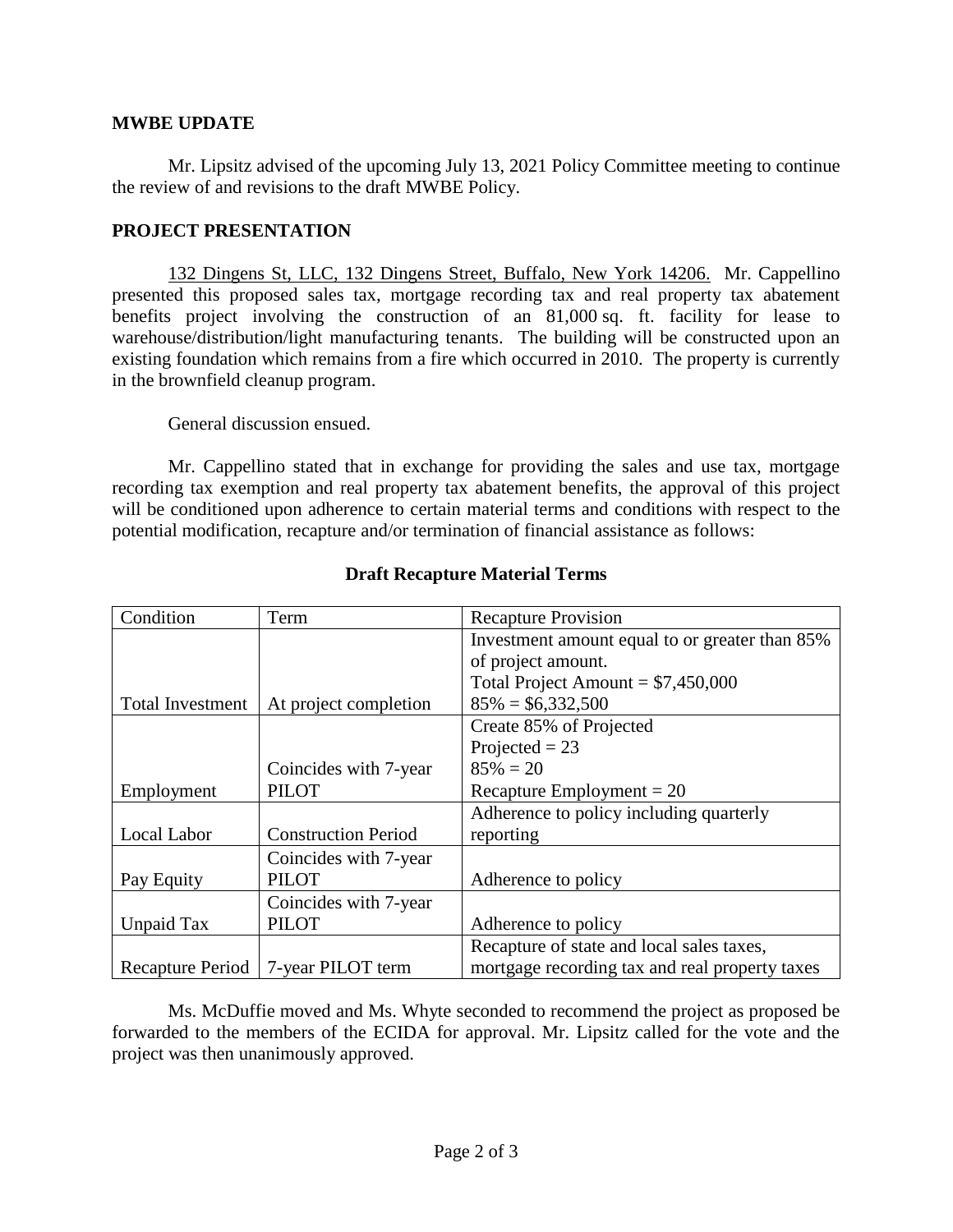### **MWBE UPDATE**

Mr. Lipsitz advised of the upcoming July 13, 2021 Policy Committee meeting to continue the review of and revisions to the draft MWBE Policy.

## **PROJECT PRESENTATION**

132 Dingens St, LLC, 132 Dingens Street, Buffalo, New York 14206. Mr. Cappellino presented this proposed sales tax, mortgage recording tax and real property tax abatement benefits project involving the construction of an 81,000 sq. ft. facility for lease to warehouse/distribution/light manufacturing tenants. The building will be constructed upon an existing foundation which remains from a fire which occurred in 2010. The property is currently in the brownfield cleanup program.

General discussion ensued.

Mr. Cappellino stated that in exchange for providing the sales and use tax, mortgage recording tax exemption and real property tax abatement benefits, the approval of this project will be conditioned upon adherence to certain material terms and conditions with respect to the potential modification, recapture and/or termination of financial assistance as follows:

| Condition               | Term                       | <b>Recapture Provision</b>                     |
|-------------------------|----------------------------|------------------------------------------------|
|                         |                            | Investment amount equal to or greater than 85% |
|                         |                            | of project amount.                             |
|                         |                            | Total Project Amount = $$7,450,000$            |
| <b>Total Investment</b> | At project completion      | $85\% = $6,332,500$                            |
|                         |                            | Create 85% of Projected                        |
|                         |                            | Projected $= 23$                               |
|                         | Coincides with 7-year      | $85\% = 20$                                    |
| Employment              | <b>PILOT</b>               | Recapture Employment $= 20$                    |
|                         |                            | Adherence to policy including quarterly        |
| Local Labor             | <b>Construction Period</b> | reporting                                      |
|                         | Coincides with 7-year      |                                                |
| Pay Equity              | <b>PILOT</b>               | Adherence to policy                            |
|                         | Coincides with 7-year      |                                                |
| Unpaid Tax              | <b>PILOT</b>               | Adherence to policy                            |
|                         |                            | Recapture of state and local sales taxes,      |
| Recapture Period        | 7-year PILOT term          | mortgage recording tax and real property taxes |

# **Draft Recapture Material Terms**

Ms. McDuffie moved and Ms. Whyte seconded to recommend the project as proposed be forwarded to the members of the ECIDA for approval. Mr. Lipsitz called for the vote and the project was then unanimously approved.